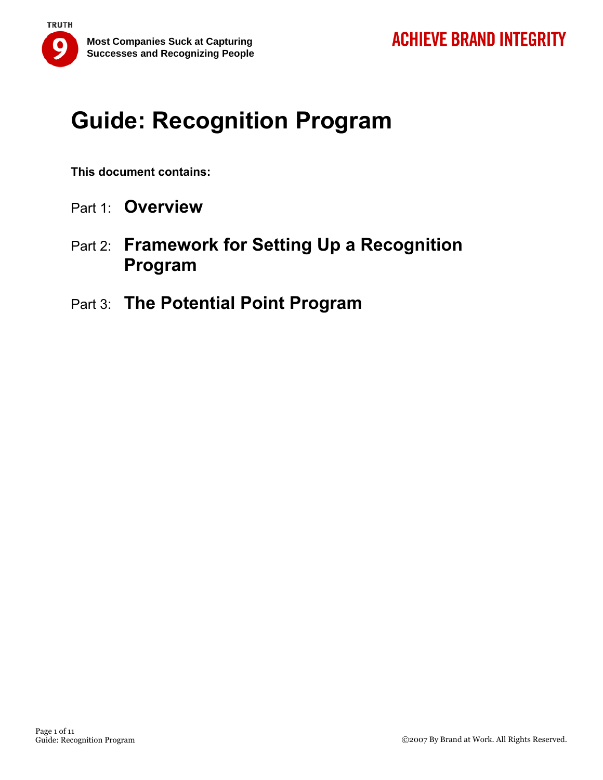

**This document contains:** 

- Part 1: **Overview**
- Part 2: **Framework for Setting Up a Recognition Program**
- Part 3: **The Potential Point Program**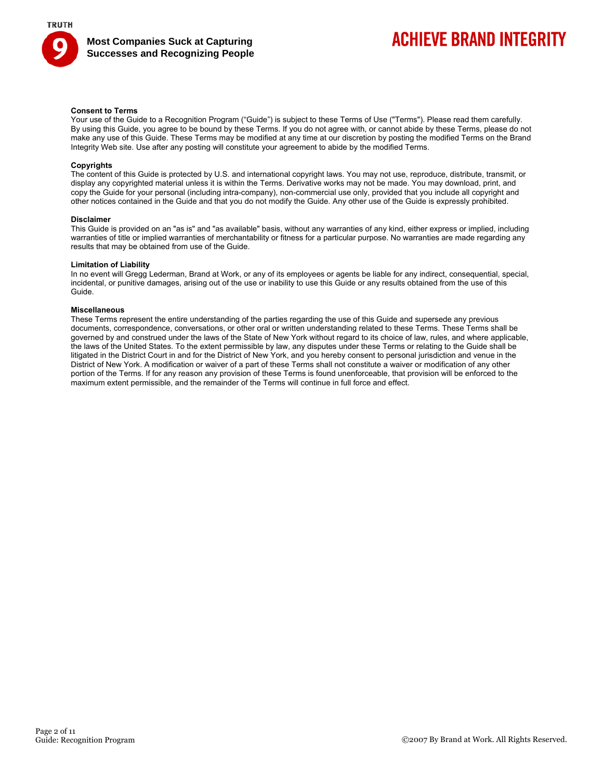

## **ACHIEVE BRAND INTEGRITY**

#### **Consent to Terms**

Your use of the Guide to a Recognition Program ("Guide") is subject to these Terms of Use ("Terms"). Please read them carefully. By using this Guide, you agree to be bound by these Terms. If you do not agree with, or cannot abide by these Terms, please do not make any use of this Guide. These Terms may be modified at any time at our discretion by posting the modified Terms on the Brand Integrity Web site. Use after any posting will constitute your agreement to abide by the modified Terms.

#### **Copyrights**

The content of this Guide is protected by U.S. and international copyright laws. You may not use, reproduce, distribute, transmit, or display any copyrighted material unless it is within the Terms. Derivative works may not be made. You may download, print, and copy the Guide for your personal (including intra-company), non-commercial use only, provided that you include all copyright and other notices contained in the Guide and that you do not modify the Guide. Any other use of the Guide is expressly prohibited.

#### **Disclaimer**

This Guide is provided on an "as is" and "as available" basis, without any warranties of any kind, either express or implied, including warranties of title or implied warranties of merchantability or fitness for a particular purpose. No warranties are made regarding any results that may be obtained from use of the Guide.

#### **Limitation of Liability**

In no event will Gregg Lederman, Brand at Work, or any of its employees or agents be liable for any indirect, consequential, special, incidental, or punitive damages, arising out of the use or inability to use this Guide or any results obtained from the use of this Guide.

#### **Miscellaneous**

These Terms represent the entire understanding of the parties regarding the use of this Guide and supersede any previous documents, correspondence, conversations, or other oral or written understanding related to these Terms. These Terms shall be governed by and construed under the laws of the State of New York without regard to its choice of law, rules, and where applicable, the laws of the United States. To the extent permissible by law, any disputes under these Terms or relating to the Guide shall be litigated in the District Court in and for the District of New York, and you hereby consent to personal jurisdiction and venue in the District of New York. A modification or waiver of a part of these Terms shall not constitute a waiver or modification of any other portion of the Terms. If for any reason any provision of these Terms is found unenforceable, that provision will be enforced to the maximum extent permissible, and the remainder of the Terms will continue in full force and effect.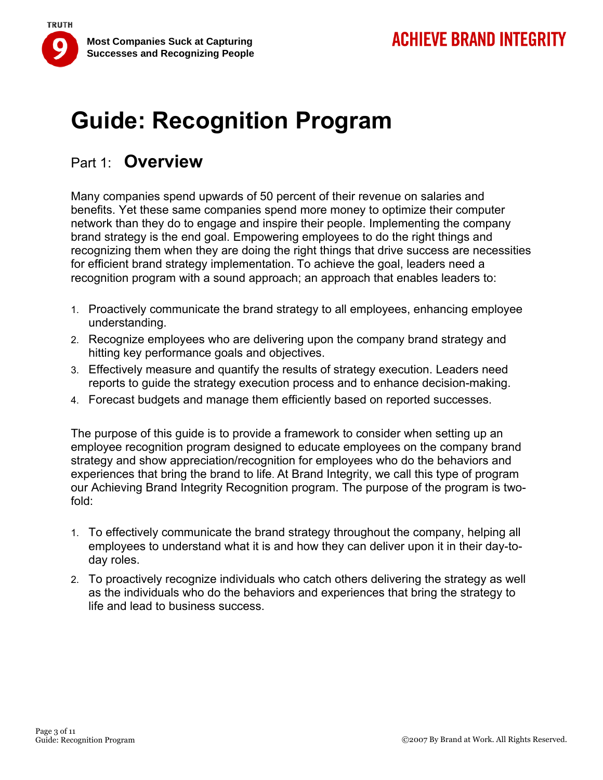

## Part 1: **Overview**

Many companies spend upwards of 50 percent of their revenue on salaries and benefits. Yet these same companies spend more money to optimize their computer network than they do to engage and inspire their people. Implementing the company brand strategy is the end goal. Empowering employees to do the right things and recognizing them when they are doing the right things that drive success are necessities for efficient brand strategy implementation. To achieve the goal, leaders need a recognition program with a sound approach; an approach that enables leaders to:

- 1. Proactively communicate the brand strategy to all employees, enhancing employee understanding.
- 2. Recognize employees who are delivering upon the company brand strategy and hitting key performance goals and objectives.
- 3. Effectively measure and quantify the results of strategy execution. Leaders need reports to guide the strategy execution process and to enhance decision-making.
- 4. Forecast budgets and manage them efficiently based on reported successes.

The purpose of this guide is to provide a framework to consider when setting up an employee recognition program designed to educate employees on the company brand strategy and show appreciation/recognition for employees who do the behaviors and experiences that bring the brand to life. At Brand Integrity, we call this type of program our Achieving Brand Integrity Recognition program. The purpose of the program is twofold:

- 1. To effectively communicate the brand strategy throughout the company, helping all employees to understand what it is and how they can deliver upon it in their day-today roles.
- 2. To proactively recognize individuals who catch others delivering the strategy as well as the individuals who do the behaviors and experiences that bring the strategy to life and lead to business success.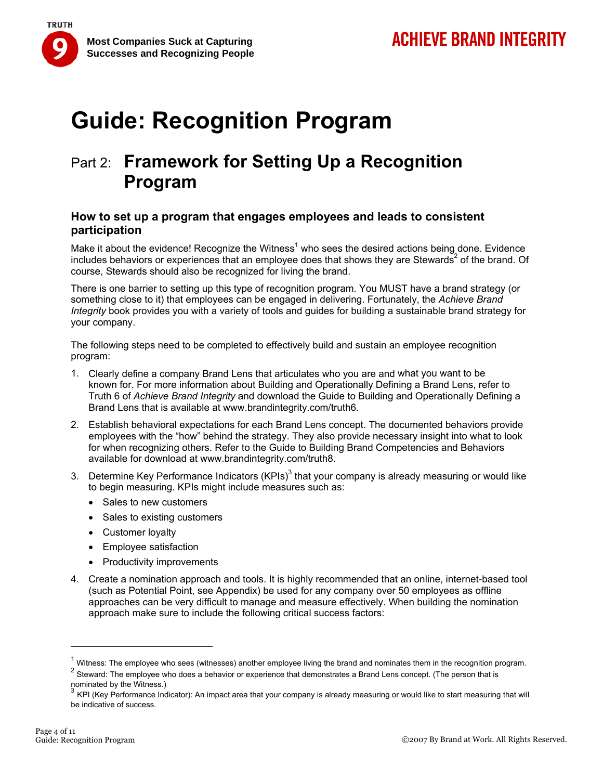

## Part 2: **Framework for Setting Up a Recognition Program**

### **How to set up a program that engages employees and leads to consistent participation**

Make it about the evidence! Recognize the Witness<sup>1</sup> who sees the desired actions being done. Evidence includes behaviors or experiences that an employee does that shows they are Stewards<sup>2</sup> of the brand. Of course, Stewards should also be recognized for living the brand.

There is one barrier to setting up this type of recognition program. You MUST have a brand strategy (or something close to it) that employees can be engaged in delivering. Fortunately, the *Achieve Brand Integrity* book provides you with a variety of tools and guides for building a sustainable brand strategy for your company.

The following steps need to be completed to effectively build and sustain an employee recognition program:

- 1. Clearly define a company Brand Lens that articulates who you are and what you want to be known for. For more information about Building and Operationally Defining a Brand Lens, refer to Truth 6 of *Achieve Brand Integrity* and download the Guide to Building and Operationally Defining a Brand Lens that is available at www.brandintegrity.com/truth6.
- 2. Establish behavioral expectations for each Brand Lens concept. The documented behaviors provide employees with the "how" behind the strategy. They also provide necessary insight into what to look for when recognizing others. Refer to the Guide to Building Brand Competencies and Behaviors available for download at www.brandintegrity.com/truth8.
- 3. Determine Key Performance Indicators (KPIs)<sup>3</sup> that your company is already measuring or would like to begin measuring. KPIs might include measures such as:
	- Sales to new customers
	- Sales to existing customers
	- Customer loyalty
	- Employee satisfaction
	- Productivity improvements
- 4. Create a nomination approach and tools. It is highly recommended that an online, internet-based tool (such as Potential Point, see Appendix) be used for any company over 50 employees as offline approaches can be very difficult to manage and measure effectively. When building the nomination approach make sure to include the following critical success factors:

<sup>&</sup>lt;sup>1</sup> Witness: The employee who sees (witnesses) another employee living the brand and nominates them in the recognition program.

<sup>&</sup>lt;sup>2</sup> Steward: The employee who does a behavior or experience that demonstrates a Brand Lens concept. (The person that is nominated by the Witness.)<br> $\frac{3}{4}$  KDL 42

<sup>3</sup> KPI (Key Performance Indicator): An impact area that your company is already measuring or would like to start measuring that will be indicative of success.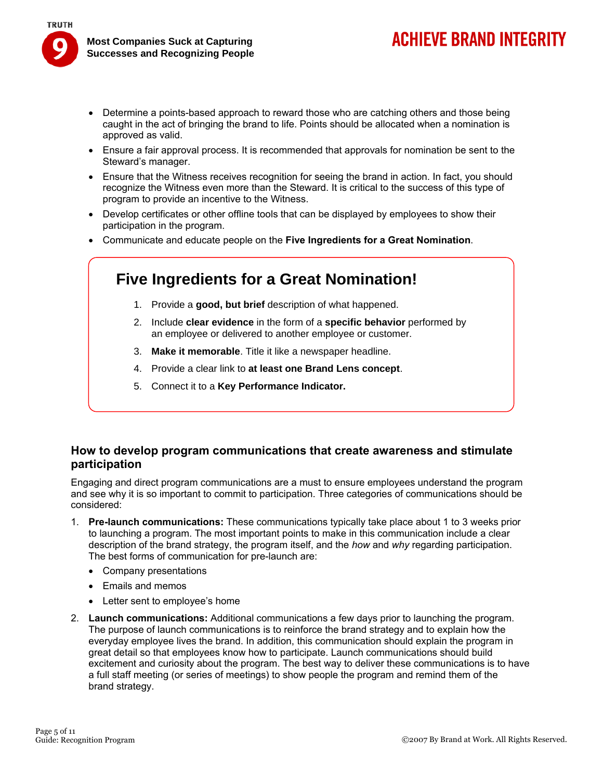- Determine a points-based approach to reward those who are catching others and those being caught in the act of bringing the brand to life. Points should be allocated when a nomination is approved as valid.
- Ensure a fair approval process. It is recommended that approvals for nomination be sent to the Steward's manager.
- Ensure that the Witness receives recognition for seeing the brand in action. In fact, you should recognize the Witness even more than the Steward. It is critical to the success of this type of program to provide an incentive to the Witness.
- Develop certificates or other offline tools that can be displayed by employees to show their participation in the program.
- Communicate and educate people on the **Five Ingredients for a Great Nomination**.

## **Five Ingredients for a Great Nomination!**

- 1. Provide a **good, but brief** description of what happened.
- 2. Include **clear evidence** in the form of a **specific behavior** performed by an employee or delivered to another employee or customer.
- 3. **Make it memorable**. Title it like a newspaper headline.
- 4. Provide a clear link to **at least one Brand Lens concept**.
- 5. Connect it to a **Key Performance Indicator.**

### **How to develop program communications that create awareness and stimulate participation**

Engaging and direct program communications are a must to ensure employees understand the program and see why it is so important to commit to participation. Three categories of communications should be considered:

- 1. **Pre-launch communications:** These communications typically take place about 1 to 3 weeks prior to launching a program. The most important points to make in this communication include a clear description of the brand strategy, the program itself, and the *how* and *why* regarding participation. The best forms of communication for pre-launch are:
	- Company presentations
	- Emails and memos
	- Letter sent to employee's home
- 2. **Launch communications:** Additional communications a few days prior to launching the program. The purpose of launch communications is to reinforce the brand strategy and to explain how the everyday employee lives the brand. In addition, this communication should explain the program in great detail so that employees know how to participate. Launch communications should build excitement and curiosity about the program. The best way to deliver these communications is to have a full staff meeting (or series of meetings) to show people the program and remind them of the brand strategy.

**ACHIEVE BRAND INTEGRITY**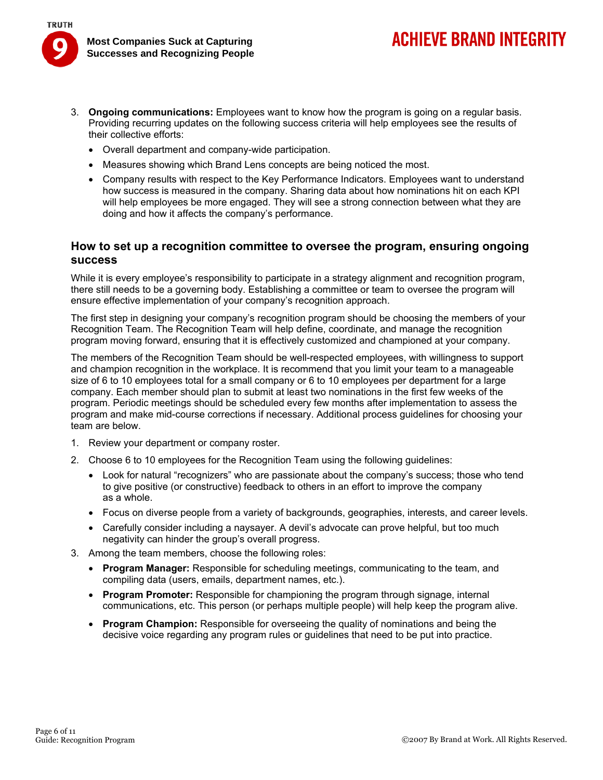

**TRUTH** 

- 3. **Ongoing communications:** Employees want to know how the program is going on a regular basis. Providing recurring updates on the following success criteria will help employees see the results of their collective efforts:
	- Overall department and company-wide participation.
	- Measures showing which Brand Lens concepts are being noticed the most.
	- Company results with respect to the Key Performance Indicators. Employees want to understand how success is measured in the company. Sharing data about how nominations hit on each KPI will help employees be more engaged. They will see a strong connection between what they are doing and how it affects the company's performance.

#### **How to set up a recognition committee to oversee the program, ensuring ongoing success**

While it is every employee's responsibility to participate in a strategy alignment and recognition program, there still needs to be a governing body. Establishing a committee or team to oversee the program will ensure effective implementation of your company's recognition approach.

The first step in designing your company's recognition program should be choosing the members of your Recognition Team. The Recognition Team will help define, coordinate, and manage the recognition program moving forward, ensuring that it is effectively customized and championed at your company.

The members of the Recognition Team should be well-respected employees, with willingness to support and champion recognition in the workplace. It is recommend that you limit your team to a manageable size of 6 to 10 employees total for a small company or 6 to 10 employees per department for a large company. Each member should plan to submit at least two nominations in the first few weeks of the program. Periodic meetings should be scheduled every few months after implementation to assess the program and make mid-course corrections if necessary. Additional process guidelines for choosing your team are below.

- 1. Review your department or company roster.
- 2. Choose 6 to 10 employees for the Recognition Team using the following guidelines:
	- Look for natural "recognizers" who are passionate about the company's success; those who tend to give positive (or constructive) feedback to others in an effort to improve the company as a whole.
	- Focus on diverse people from a variety of backgrounds, geographies, interests, and career levels.
	- Carefully consider including a naysayer. A devil's advocate can prove helpful, but too much negativity can hinder the group's overall progress.
- 3. Among the team members, choose the following roles:
	- **Program Manager:** Responsible for scheduling meetings, communicating to the team, and compiling data (users, emails, department names, etc.).
	- **Program Promoter:** Responsible for championing the program through signage, internal communications, etc. This person (or perhaps multiple people) will help keep the program alive.
	- **Program Champion:** Responsible for overseeing the quality of nominations and being the decisive voice regarding any program rules or guidelines that need to be put into practice.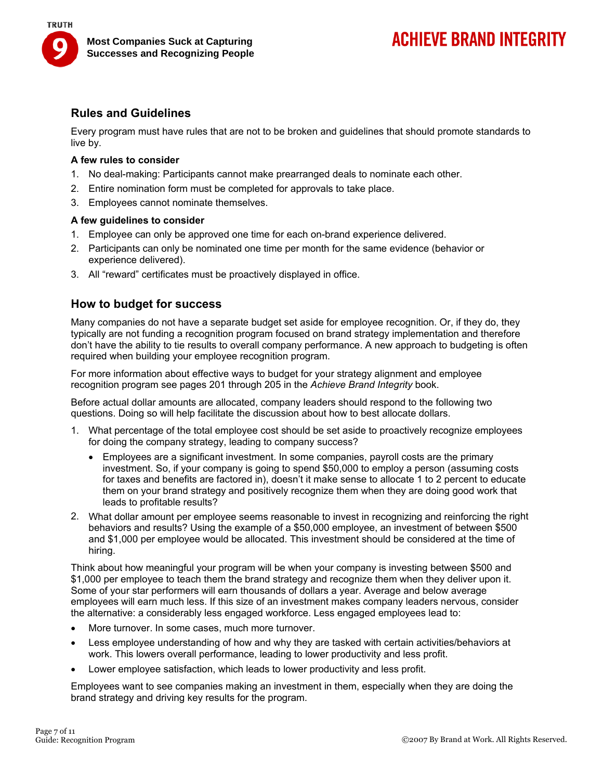

### **Rules and Guidelines**

Every program must have rules that are not to be broken and guidelines that should promote standards to live by.

#### **A few rules to consider**

- 1. No deal-making: Participants cannot make prearranged deals to nominate each other.
- 2. Entire nomination form must be completed for approvals to take place.
- 3. Employees cannot nominate themselves.

#### **A few guidelines to consider**

- 1. Employee can only be approved one time for each on-brand experience delivered.
- 2. Participants can only be nominated one time per month for the same evidence (behavior or experience delivered).
- 3. All "reward" certificates must be proactively displayed in office.

#### **How to budget for success**

Many companies do not have a separate budget set aside for employee recognition. Or, if they do, they typically are not funding a recognition program focused on brand strategy implementation and therefore don't have the ability to tie results to overall company performance. A new approach to budgeting is often required when building your employee recognition program.

For more information about effective ways to budget for your strategy alignment and employee recognition program see pages 201 through 205 in the *Achieve Brand Integrity* book.

Before actual dollar amounts are allocated, company leaders should respond to the following two questions. Doing so will help facilitate the discussion about how to best allocate dollars.

- 1. What percentage of the total employee cost should be set aside to proactively recognize employees for doing the company strategy, leading to company success?
	- Employees are a significant investment. In some companies, payroll costs are the primary investment. So, if your company is going to spend \$50,000 to employ a person (assuming costs for taxes and benefits are factored in), doesn't it make sense to allocate 1 to 2 percent to educate them on your brand strategy and positively recognize them when they are doing good work that leads to profitable results?
- 2. What dollar amount per employee seems reasonable to invest in recognizing and reinforcing the right behaviors and results? Using the example of a \$50,000 employee, an investment of between \$500 and \$1,000 per employee would be allocated. This investment should be considered at the time of hiring.

Think about how meaningful your program will be when your company is investing between \$500 and \$1,000 per employee to teach them the brand strategy and recognize them when they deliver upon it. Some of your star performers will earn thousands of dollars a year. Average and below average employees will earn much less. If this size of an investment makes company leaders nervous, consider the alternative: a considerably less engaged workforce. Less engaged employees lead to:

- More turnover. In some cases, much more turnover.
- Less employee understanding of how and why they are tasked with certain activities/behaviors at work. This lowers overall performance, leading to lower productivity and less profit.
- Lower employee satisfaction, which leads to lower productivity and less profit.

Employees want to see companies making an investment in them, especially when they are doing the brand strategy and driving key results for the program.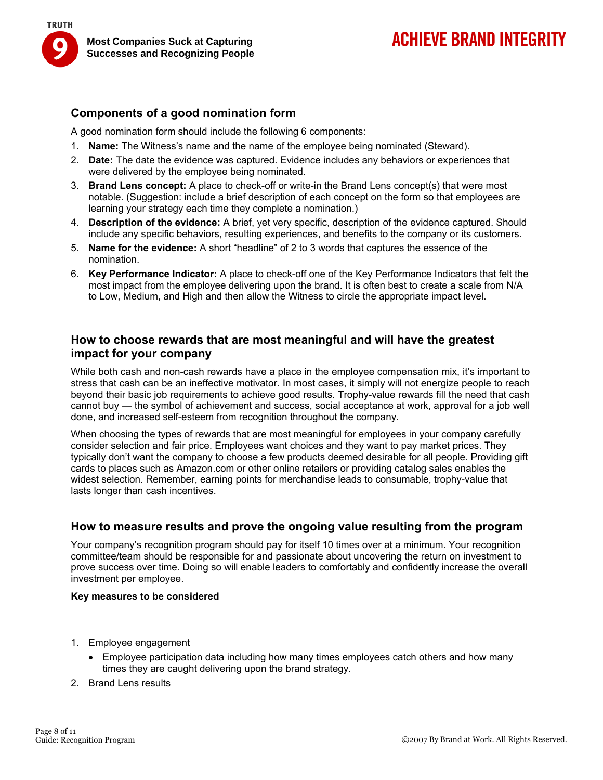

### **Components of a good nomination form**

A good nomination form should include the following 6 components:

- 1. **Name:** The Witness's name and the name of the employee being nominated (Steward).
- 2. **Date:** The date the evidence was captured. Evidence includes any behaviors or experiences that were delivered by the employee being nominated.
- 3. **Brand Lens concept:** A place to check-off or write-in the Brand Lens concept(s) that were most notable. (Suggestion: include a brief description of each concept on the form so that employees are learning your strategy each time they complete a nomination.)
- 4. **Description of the evidence:** A brief, yet very specific, description of the evidence captured. Should include any specific behaviors, resulting experiences, and benefits to the company or its customers.
- 5. **Name for the evidence:** A short "headline" of 2 to 3 words that captures the essence of the nomination.
- 6. **Key Performance Indicator:** A place to check-off one of the Key Performance Indicators that felt the most impact from the employee delivering upon the brand. It is often best to create a scale from N/A to Low, Medium, and High and then allow the Witness to circle the appropriate impact level.

#### **How to choose rewards that are most meaningful and will have the greatest impact for your company**

While both cash and non-cash rewards have a place in the employee compensation mix, it's important to stress that cash can be an ineffective motivator. In most cases, it simply will not energize people to reach beyond their basic job requirements to achieve good results. Trophy-value rewards fill the need that cash cannot buy — the symbol of achievement and success, social acceptance at work, approval for a job well done, and increased self-esteem from recognition throughout the company.

When choosing the types of rewards that are most meaningful for employees in your company carefully consider selection and fair price. Employees want choices and they want to pay market prices. They typically don't want the company to choose a few products deemed desirable for all people. Providing gift cards to places such as Amazon.com or other online retailers or providing catalog sales enables the widest selection. Remember, earning points for merchandise leads to consumable, trophy-value that lasts longer than cash incentives.

### **How to measure results and prove the ongoing value resulting from the program**

Your company's recognition program should pay for itself 10 times over at a minimum. Your recognition committee/team should be responsible for and passionate about uncovering the return on investment to prove success over time. Doing so will enable leaders to comfortably and confidently increase the overall investment per employee.

#### **Key measures to be considered**

- 1. Employee engagement
	- Employee participation data including how many times employees catch others and how many times they are caught delivering upon the brand strategy.
- 2. Brand Lens results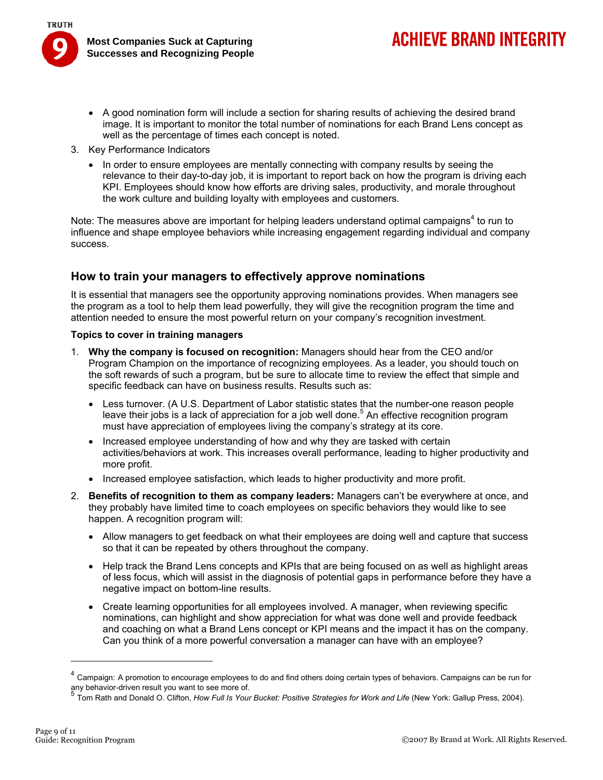# **ACHIEVE BRAND INTEGRITY**

- A good nomination form will include a section for sharing results of achieving the desired brand image. It is important to monitor the total number of nominations for each Brand Lens concept as well as the percentage of times each concept is noted.
- 3. Key Performance Indicators
	- In order to ensure employees are mentally connecting with company results by seeing the relevance to their day-to-day job, it is important to report back on how the program is driving each KPI. Employees should know how efforts are driving sales, productivity, and morale throughout the work culture and building loyalty with employees and customers.

Note: The measures above are important for helping leaders understand optimal campaigns<sup>4</sup> to run to influence and shape employee behaviors while increasing engagement regarding individual and company success.

### **How to train your managers to effectively approve nominations**

It is essential that managers see the opportunity approving nominations provides. When managers see the program as a tool to help them lead powerfully, they will give the recognition program the time and attention needed to ensure the most powerful return on your company's recognition investment.

#### **Topics to cover in training managers**

- 1. **Why the company is focused on recognition:** Managers should hear from the CEO and/or Program Champion on the importance of recognizing employees. As a leader, you should touch on the soft rewards of such a program, but be sure to allocate time to review the effect that simple and specific feedback can have on business results. Results such as:
	- Less turnover. (A U.S. Department of Labor statistic states that the number-one reason people leave their jobs is a lack of appreciation for a job well done.<sup>5</sup> An effective recognition program must have appreciation of employees living the company's strategy at its core.
	- Increased employee understanding of how and why they are tasked with certain activities/behaviors at work. This increases overall performance, leading to higher productivity and more profit.
	- Increased employee satisfaction, which leads to higher productivity and more profit.
- 2. **Benefits of recognition to them as company leaders:** Managers can't be everywhere at once, and they probably have limited time to coach employees on specific behaviors they would like to see happen. A recognition program will:
	- Allow managers to get feedback on what their employees are doing well and capture that success so that it can be repeated by others throughout the company.
	- Help track the Brand Lens concepts and KPIs that are being focused on as well as highlight areas of less focus, which will assist in the diagnosis of potential gaps in performance before they have a negative impact on bottom-line results.
	- Create learning opportunities for all employees involved. A manager, when reviewing specific nominations, can highlight and show appreciation for what was done well and provide feedback and coaching on what a Brand Lens concept or KPI means and the impact it has on the company. Can you think of a more powerful conversation a manager can have with an employee?

<sup>&</sup>lt;sup>4</sup> Campaign: A promotion to encourage employees to do and find others doing certain types of behaviors. Campaigns can be run for any behavior-driven result you want to see more of.<br> $\frac{5}{5}$ 

<sup>5</sup> Tom Rath and Donald O. Clifton, *How Full Is Your Bucket: Positive Strategies for Work and Life* (New York: Gallup Press, 2004).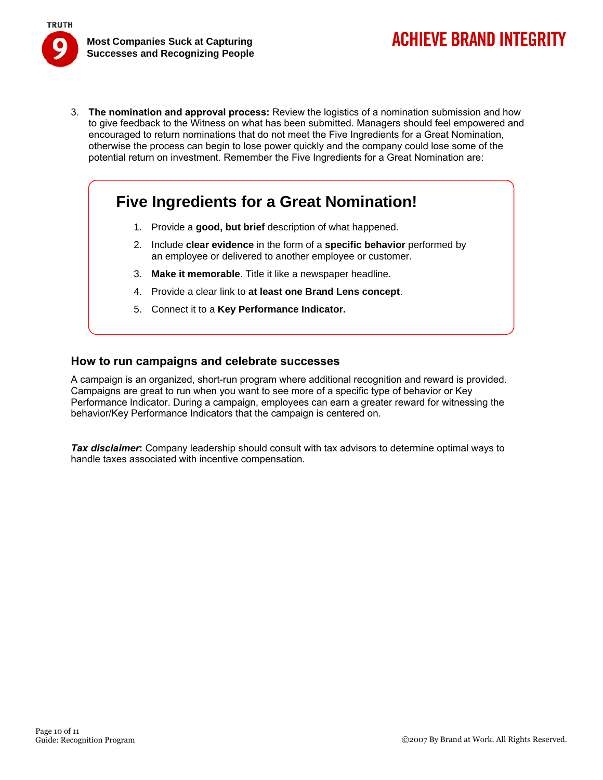

3. **The nomination and approval process:** Review the logistics of a nomination submission and how to give feedback to the Witness on what has been submitted. Managers should feel empowered and encouraged to return nominations that do not meet the Five Ingredients for a Great Nomination, otherwise the process can begin to lose power quickly and the company could lose some of the potential return on investment. Remember the Five Ingredients for a Great Nomination are:

## **Five Ingredients for a Great Nomination!**

- 1. Provide a **good, but brief** description of what happened.
- 2. Include **clear evidence** in the form of a **specific behavior** performed by an employee or delivered to another employee or customer.
- 3. **Make it memorable**. Title it like a newspaper headline.
- 4. Provide a clear link to **at least one Brand Lens concept**.
- 5. Connect it to a **Key Performance Indicator.**

#### **How to run campaigns and celebrate successes**

A campaign is an organized, short-run program where additional recognition and reward is provided. Campaigns are great to run when you want to see more of a specific type of behavior or Key Performance Indicator. During a campaign, employees can earn a greater reward for witnessing the behavior/Key Performance Indicators that the campaign is centered on.

*Tax disclaimer***:** Company leadership should consult with tax advisors to determine optimal ways to handle taxes associated with incentive compensation.

**ACHIEVE BRAND INTEGRITY**